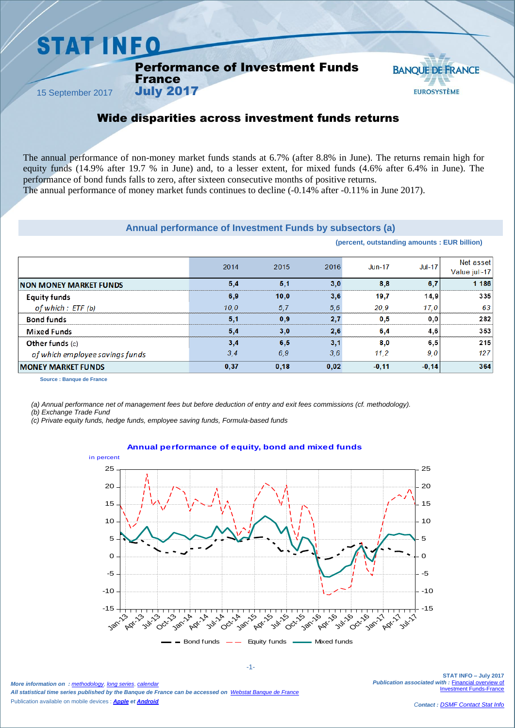## **STAT INFO**

#### Performance of Investment Funds France

15 September 2017

### **BANOUE DE FRANCE EUROSYSTÈME**

### Wide disparities across investment funds returns

The annual performance of non-money market funds stands at 6.7% (after 8.8% in June). The returns remain high for equity funds (14.9% after 19.7 % in June) and, to a lesser extent, for mixed funds (4.6% after 6.4% in June). The performance of bond funds falls to zero, after sixteen consecutive months of positive returns.

The annual performance of money market funds continues to decline (-0.14% after -0.11% in June 2017).

#### **Annual performance of Investment Funds by subsectors (a)**

|                                 |      |      |      | (percent, outstanding amounts: EUR billion) |          |                           |
|---------------------------------|------|------|------|---------------------------------------------|----------|---------------------------|
|                                 | 2014 | 2015 | 2016 | $Jun-17$                                    | $Jul-17$ | Net asset<br>Value jul-17 |
| <b>NON MONEY MARKET FUNDS</b>   | 5,4  | 5,1  | 3,0  | 8,8                                         | 6,7      | 1 1 8 6                   |
| <b>Equity funds</b>             | 6,9  | 10,0 | 3,6  | 19,7                                        | 14.9     | 335                       |
| of which $:$ ETF (b)            | 10,0 | 5,7  | 5,6  | 20.9                                        | 17,0     | 63                        |
| <b>Bond funds</b>               | 5,1  | 0,9  | 2,7  | 0,5                                         | 0, 0     | 282                       |
| <b>Mixed Funds</b>              | 5,4  | 3,0  | 2,6  | 6,4                                         | 4,6      | 353                       |
| Other funds $(c)$               | 3,4  | 6,5  | 3,1  | 8,0                                         | 6, 5     | 215                       |
| of which employee savings funds | 3,4  | 6,9  | 3,6  | 11,2                                        | 9,0      | 127                       |
| <b>MONEY MARKET FUNDS</b>       | 0,37 | 0,18 | 0,02 | $-0,11$                                     | $-0,14$  | 364                       |

**Source : Banque de France**

*(a) Annual performance net of management fees but before deduction of entry and exit fees commissions (cf. methodology).*

*(b) Exchange Trade Fund*

*(c) Private equity funds, hedge funds, employee saving funds, Formula-based funds*

July 2017

#### -15  $-10$ -5  $\overline{O}$ 5  $1<sub>0</sub>$ 15 20 25  $-15$  $-10$ -5  $\Omega$ 5  $1<sub>0</sub>$ 15 20 25 Jan<sub>-13</sub> *Ad<sub>r</sub> Jn*, O Oct-13pc<sub>-12p</sub><br>Oct-13pc-14 Apr-14 O Oct-14 Jan-15 Apr-15 **Jul-15** Octris Jan-16 Apr-16 Jul-16 Oct-16 Jan-17 **Apr-17** 11  $Bond funds$   $\leftarrow$  Faulty funds  $\leftarrow$  Mixed funds in percent

#### **Annual performance of equity, bond and mixed funds**

*More information on : [methodology](https://www.banque-france.fr/en/node/21464)*, *[long series](http://webstat.banque-france.fr/en/browse.do?node=5384218)*, *[calendar](https://www.banque-france.fr/en/statistics/calendar) All statistical time series published by the Banque de France can be accessed on [Webstat Banque de France](http://webstat.banque-france.fr/en/)* Publication available on mobile devices : *[Apple](https://itunes.apple.com/fr/app/banquefrance/id663817914?mt=8) e[t Android](https://play.google.com/store/apps/details?id=fr.bdf.mobile&feature=search_result#?t=W251bGwsMSwyLDEsImZyLmJkZi5tb2JpbGUiXQ)*

-1-

**STAT INFO – July 2017** *Publication associated with :* [Financial overview of](https://www.banque-france.fr/en/node/4206)  **Investment Funds-Fra**